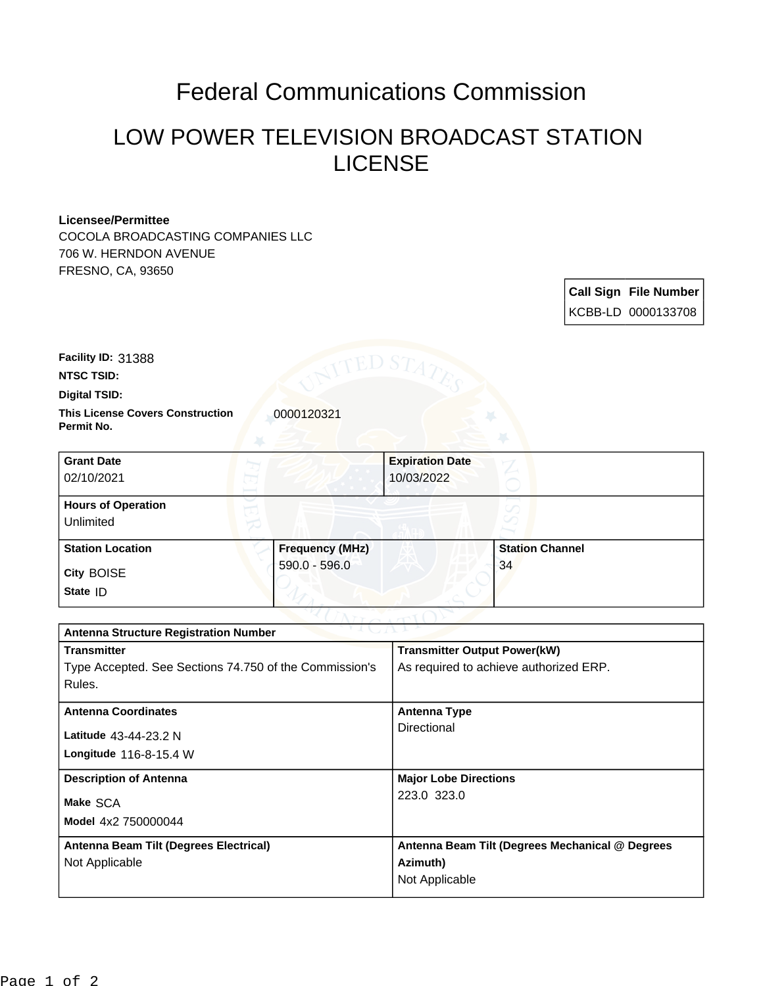## Federal Communications Commission

## LOW POWER TELEVISION BROADCAST STATION LICENSE

## **Licensee/Permittee**

COCOLA BROADCASTING COMPANIES LLC 706 W. HERNDON AVENUE FRESNO, CA, 93650

| <b>Call Sign File Number</b> |
|------------------------------|
| KCBB-LD 0000133708           |

**Facility ID:** 31388

**NTSC TSID:**

**Digital TSID:**

**This License Covers Construction**  0000120321 **Permit No.**

| <b>Grant Date</b><br>02/10/2021        |                        | <b>Expiration Date</b><br>10/03/2022 |                        |  |
|----------------------------------------|------------------------|--------------------------------------|------------------------|--|
| <b>Hours of Operation</b><br>Unlimited |                        |                                      |                        |  |
| <b>Station Location</b>                | <b>Frequency (MHz)</b> |                                      | <b>Station Channel</b> |  |
| <b>City BOISE</b><br>State ID          | 590.0 - 596.0          |                                      | 34                     |  |

| つきまし パーレン<br><b>Antenna Structure Registration Number</b> |                                                 |  |  |  |
|-----------------------------------------------------------|-------------------------------------------------|--|--|--|
| <b>Transmitter</b>                                        | <b>Transmitter Output Power(kW)</b>             |  |  |  |
| Type Accepted. See Sections 74.750 of the Commission's    | As required to achieve authorized ERP.          |  |  |  |
| Rules.                                                    |                                                 |  |  |  |
| <b>Antenna Coordinates</b>                                | <b>Antenna Type</b>                             |  |  |  |
|                                                           | Directional                                     |  |  |  |
| Latitude 43-44-23.2 N                                     |                                                 |  |  |  |
| Longitude $116 - 8 - 15.4$ W                              |                                                 |  |  |  |
| <b>Description of Antenna</b>                             | <b>Major Lobe Directions</b>                    |  |  |  |
| Make SCA                                                  | 223.0 323.0                                     |  |  |  |
| Model 4x2 750000044                                       |                                                 |  |  |  |
|                                                           |                                                 |  |  |  |
| Antenna Beam Tilt (Degrees Electrical)                    | Antenna Beam Tilt (Degrees Mechanical @ Degrees |  |  |  |
| Not Applicable                                            | Azimuth)                                        |  |  |  |
|                                                           | Not Applicable                                  |  |  |  |
|                                                           |                                                 |  |  |  |